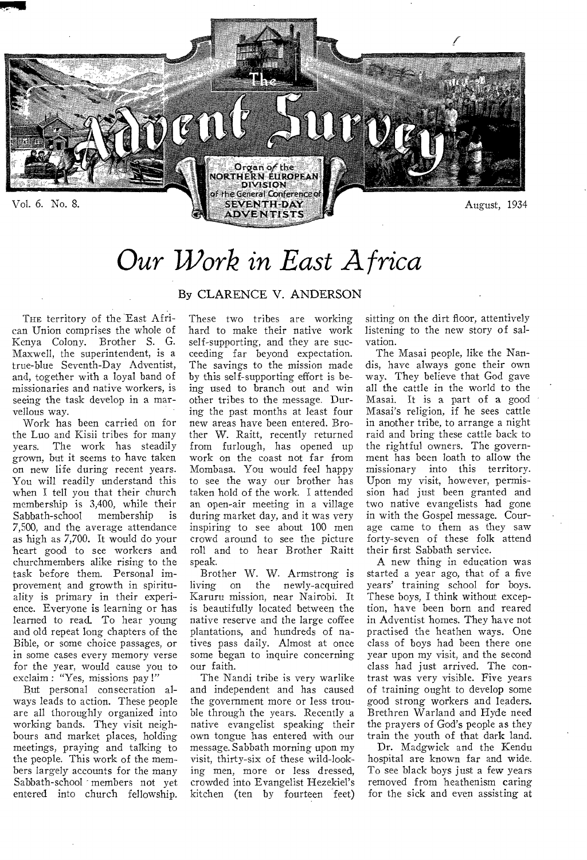

# *Our Work in East Africa*

### By CLARENCE V. ANDERSON

THE territory of the East Afri- These two tribes are working sitting on the dirt floor, attentively can Union comprises the whole of hard to make their native work listening to the new story of salseeing the task develop in a mar- other tribes to the message. Dur-<br>vellous way.  $\qquad \qquad \text{ing the past months at least four}$ 

the Luo and Kisii tribes for many ther W. Raitt, recently returned raid and bring these cattle back to years. The work has steadily from furlough, has opened up the rightful owners. The governgrown, but it seems to have taken work on the coast not far from ment has been loath to allow the<br>on new life during recent years. Mombasa. You would feel happy missionary into this territory. on new life during recent years. Mombasa. You would feel happy missionary into this territory.<br>You will readily understand this to see the way our brother has Upon my visit, however, permis-You will readily understand this to see the way our brother has when I tell you that their church taken hold of the work. I attended when I tell you that their church taken hold of the work. I attended sion had just been granted and<br>membership is 3,400, while their an open-air meeting in a village two native evangelists had gone Sabbath-school membership is during market day, and it was very in with the Gospel message. Cour-<br>7,500, and the average attendance inspiring to see about 100 men age came to them as they saw 7,500, and the average attendance inspiring to see about 100 men age came to them as they saw heart good to see workers and roll and to hear Brother Raitt their first Sabbath service.<br>
churchmembers alike rising to the speak.<br>
A new thing in education was churchmembers alike rising to the speak.<br>
task before them. Personal im-<br>
Brother W. W. Armstrong is started a year ago, that of a five task before them. Personal im-<br>provement and growth in spiritu- living on the newly-acquired learned to read. To hear young native reserve and the large coffee and old repeat long chapters of the plantations, and hundreds of nain some cases every memory verse some began to inquire concerning for the year, would cause you to our faith. for the year, would cause you to our faith. class had just arrived. The con-<br>exclaim: "Yes, missions pay!" The Nandi tribe is very warlike trast was very visible. Five years

working bands. They visit neigh- native evangelist speaking their bours and market places, holding own tongue has entered with our

Kenya Colony. Brother S. G. self-supporting, and they are suc- vation.<br>Maxwell, the superintendent, is a ceeding far beyond expectation. The Masai people, like the Nan-Maxwell, the superintendent, is a ceeding far beyond expectation. The Masai people, like the Nan-<br>true-blue Seventh-Day Adventist, The savings to the mission made dis, have always gone their own true-blue Seventh-Day Adventist, The savings to the mission made dis, have always gone their own and, together with a loyal band of by this self-supporting effort is be-way. They believe that God gave missionaries and native workers, is ing used to branch out and win all the cattle in the world to the missionaries and native workers, is ing used to branch out and win all the cattle in the world to the seeing the task develop in a mar- other tribes to the message. Dur- Masai. It is a part of a good llous way. ing the past months at least four Masai's religion, if he sees cattle!<br>Work has been carried on for new areas have been entered. Bro- in another tribe, to arrange a night Work has been carried on for new areas have been entered. Bro- in another tribe, to arrange a night<br>the Luo and Kisii tribes for many ther W. Raitt, recently returned raid and bring these cattle back to from furlough, has opened up the rightful owners. The govern-<br>work on the coast not far from ment has been loath to allow the crowd around to see the picture forty-seven of these folk attend<br>roll and to hear Brother Raitt their first Sabbath service.

living on the newly-acquired years' training school for boys.<br>Karuru-mission, near-Nairobi. It These-boys, I think without excepality is primary in their experi- Karuru mission, near Nairobi. It These boys, I think without excep-<br>ence. Everyone is learning or has is beautifully located between the tion, have been born and reared is beautifully located between the tion, have been born and reared native reserve and the large coffee in Adventist homes. They have not and old repeat long chapters of the plantations, and hundreds of na- practised the heathen ways. One<br>Bible, or some choice passages, or tives pass daily. Almost at once class of boys had been there one Bible, or some choice passages, or tives pass daily. Almost at once class of boys had been there one<br>in some cases every memory verse some began to inquire concerning year upon my visit, and the second

and independent and has caused of training ought to develop some the government more or less trou- good strong workers and leaders. ways leads to action. These people the government more or less trou- good strong workers and leaders.<br>are all thoroughly organized into ble through the years. Recently a Brethren Warland and Hyde need are all thoroughly organized into ble through the years. Recently a Brethren Warland and Hyde need<br>working bands. They visit neigh- native evangelist speaking their the prayers of God's people as they own tongue has entered with our train the youth of that dark land.<br>message Sabbath morning upon my Dr. Madgwick and the Kendu meetings, praying and talking to message. Sabbath morning upon my Dr. Madgwick and the Kendu the people. This work of the mem-visit, thirty-six of these wild-look-hospital are known far and wide. bers largely accounts for the many ing men, more or less dressed, To see black boys just a few years<br>Sabbath-school members not yet crowded into Evangelist Hezekiel's removed from heathenism caring crowded into Evangelist Hezekiel's entered into church fellowship. kitchen (ten by fourteen feet) for the sick and even assisting at

listening to the new story of sal-

two native evangelists had gone

exclaim : "Yes, missions pay !" The Nandi tribe is very warlike trast was very visible. Five years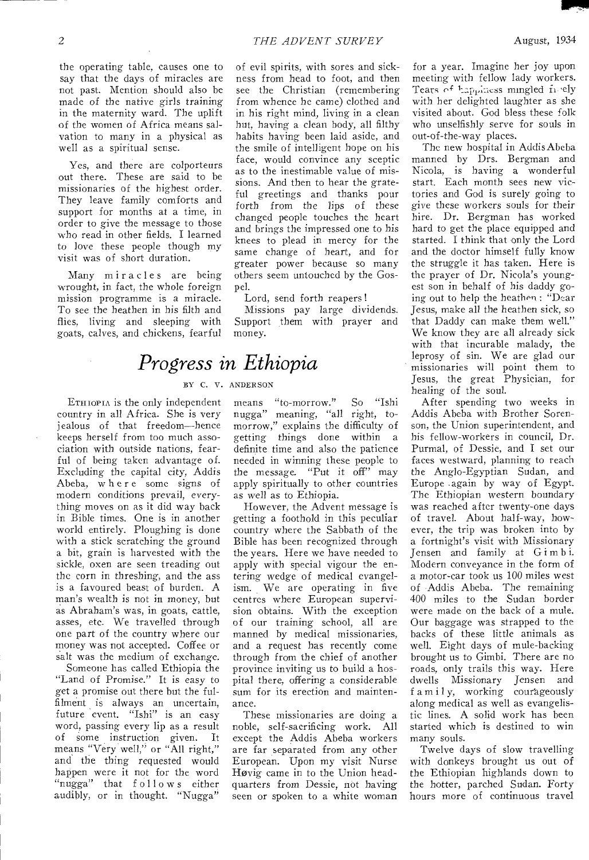the operating table, causes one to say that the days of miracles are not past. Mention should also be made of the native girls training in the maternity ward. The uplift of the women of Africa means salvation to many in a physical as well as a spiritual sense.

Yes, and there are colporteurs out there. These are said to be missionaries of the highest order. They leave family comforts and support for months at a time, in order to give the message to those who read in other fields. I learned to love these people though my visit was of short duration.

Many miracles are being wrought, in fact, the whole foreign mission programme is a miracle. To see the heathen in his filth and flies, living and sleeping with goats, calves, and chickens, fearful

## *Progress in Ethiopia*

#### BY C. V. ANDERSON

ETHIOPIA is the only independent country in all Africa. She is very jealous of that freedom—hence keeps herself from too much association with outside nations, fearful of being taken advantage of. Excluding the capital city, Addis Abeba, where some signs of modern conditions prevail, everything moves on as it did way back in Bible times. One is in another world entirely. Ploughing is done with a stick scratching the ground a bit, grain is harvested with the sickle, oxen are seen treading out the corn in threshing, and the ass is a favoured beast of burden. A man's wealth is not in money, but as Abraham's was, in goats, cattle, asses, etc. We travelled through one part of the country where our money was not accepted. Coffee or salt was the medium of exchange.

Someone has called Ethiopia the "Land of Promise." It *is* easy to get a promise out there but the fulfilment is always an uncertain, future event. "Ishi" is an easy word, passing every lip as a result of some instruction given. It means "Very well," or "All right," and the thing requested would happen were it not for the word *"nugga"* that follow s either audibly, or in thought. "Nugga"

of evil spirits, with sores and sickness from head to foot, and then see the Christian (remembering from whence he came) clothed and in his right mind, living in a clean hut, having a clean body, all filthy habits having been laid aside, and the smile of intelligent hope on his face, would convince any sceptic as to the inestimable value of missions. And then to hear the grateful greetings and thanks pour forth from the lips of these changed people touches the heart and brings the impressed one to his knees to plead in mercy for the same change of heart, and for greater power because so many others seem untouched by the Gospel.

Lord, send forth reapers !

Missions pay large dividends. Support them with prayer and money.

#### means "to-morrow." So "Ishi nugga" meaning, "all right, tomorrow," explains the difficulty of getting things done within a definite time and also the patience needed in winning these people to the message. "Put it off" may apply spiritually to other countries as well as to Ethiopia.

However, the Advent message is getting a foothold in this peculiar country where the Sabbath of the Bible has been recognized through the years. Here we have needed to apply with special vigour the entering wedge of medical evangelism. We are operating in five centres where European supervision obtains. With the exception of our training school, all are manned by medical missionaries, and a request has recently come through from the chief of another province inviting us to build a hospital there, offering a considerable sum for its erection and maintenance.

These missionaries are doing a noble, self-sacrificing work. All except the Addis Abeba workers are far separated from any other European. Upon my visit Nurse Hovig came in to the Union headquarters from Dessie, not having seen or spoken to a white woman for a year. Imagine her joy upon meeting with fellow lady workers. Tears of happiness mingled in ely with her delighted laughter as she visited about. God bless these folk who unselfishly serve for souls in out-of-the-way places.

The new hospital in Addis Abeba manned by Drs. Bergman and Nicola, is having a wonderful start. Each month sees new victories and God is surely going to *give* these workers souls for their hire. Dr. Bergman has worked hard to get the place equipped and started. I think that only the Lord and the doctor himself fully know the struggle it has taken. Here is the prayer of Dr. Nicola's youngest son in behalf of his daddy going out to help the heathen : "Dear Jesus, make all the heathen sick, so that Daddy can make them well." We know they are all already sick with that incurable malady, the leprosy of sin. We are glad our missionaries will point them to Jesus, the great Physician, for healing of the soul.

After spending two weeks in Addis Abeba with Brother Sorenson, the Union superintendent, and his fellow-workers in council, Dr. Purmal, of Dessie, and I set our faces westward, planning to reach the Anglo-Egyptian Sudan, and Europe .again by way of Egypt. The Ethiopian western boundary was reached after twenty-one days of travel. About half-way, however, the trip was broken into by a fortnight's visit with Missionary Jensen and family at G i m b i. Modern conveyance in the form of a motor-car took us 100 miles west of Addis Abeba. The remaining 400 miles to the Sudan border were made on the back of a mule. Our baggage was strapped to the backs of these little animals as well. Eight days of mule-backing brought us to Gimbi. There are no roads, only trails this way. Here dwells Missionary Jensen and f a m i 1 y, working courageously along medical as well as evangelistic lines. A solid work has been started which is destined to win many souls.

Twelve days of slow travelling with donkeys brought us out of the Ethiopian highlands down to the hotter, parched Sudan. Forty hours more of continuous travel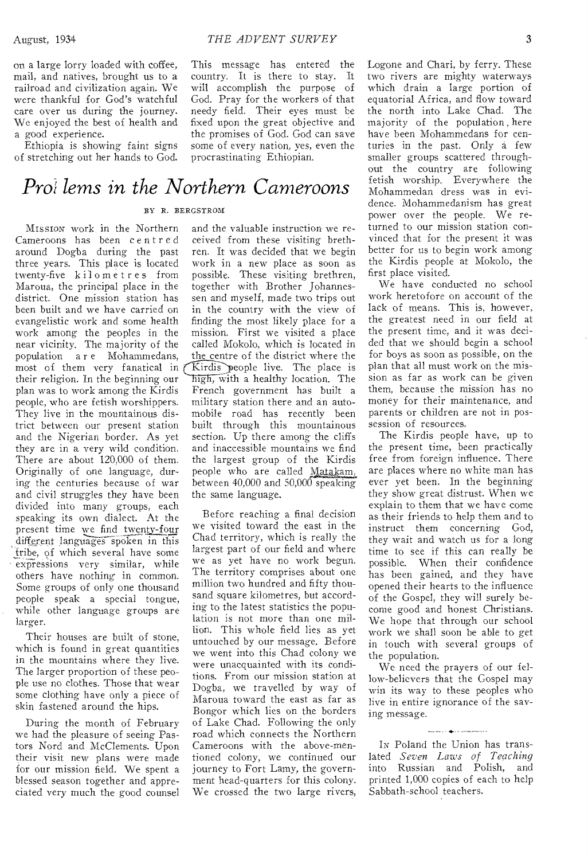on a large lorry loaded with coffee, mail, and natives, brought us to a railroad and civilization again. We were thankful for God's watchful care over us during the journey. We enjoyed the best of health and a good experience.

Ethiopia is showing faint signs of stretching out her hands to God.

### *Prof lems in the Northern Cameroons*

#### BY R. BERGSTROM

MISSION work in the Northern Cameroons has been centred around Dogba during the past three years. This place is located twenty-five kilometres from Maroua, the principal place in the district. One mission station has been built and we have carried on evangelistic work and some health work among the peoples in the near vicinity. The majority of the population a r e Mohammedans, most of them very fanatical in their religion. In the beginning our plan was to work among the Kirdis people, who are fetish worshippers. They live in the mountainous district between our present station and the Nigerian border. As yet they are in a very wild condition. There are about 120,000 of them. Originally of one language, during the centuries because of war and civil struggles they have been divided into many groups, each speaking its own dialect. At the present time we find twenty-four different languages spoken in this tribe, of which several have some • expressions very similar, while others have nothing in common. Some groups of only one thousand people speak a special tongue, while other language groups are larger.

Their houses are built of stone, which is found in great quantities in the mountains where they live. The larger proportion of these people use no clothes. Those that wear some clothing have only a piece of skin fastened around the hips.

During the month of February we had the pleasure of seeing Pastors Nord and McClements. Upon their visit new plans were made for our mission field. We spent a blessed season together and appreciated very much the good counsel This message has entered the country. It is there to stay. It will accomplish the purpose of God. Pray for the workers of that needy field. Their eyes must be fixed upon the great objective and the promises of God. God can save some of every nation, yes, even the procrastinating Ethiopian.

and the valuable instruction we received from these visiting brethren. It was decided that we begin work in a new place as soon as possible. These visiting brethren, together with Brother Johannessen and myself, made two trips out in the country with the view of finding the most likely place for a mission. First we visited a place called Mokolo, which is located in the centre of the district where the Kirdis people live. The place is high, with a healthy location. The French government has built a military station there and an automobile road has recently been built through this mountainous section. Up there among the cliffs and inaccessible mountains we find the largest group of the Kirdis people who are called Matakam, between 40,000 and 50,000 speaking the same language.

Before reaching a final decision we visited toward the east in the Chad territory, which is really the largest part of our field and where we as yet have no work begun. The territory comprises about one million two hundred and fifty thousand square kilometres, but according to the latest statistics the population is not more than one million. This whole field lies as yet untouched by our message. Before we went into this Chad colony we were unacquainted with its conditions. From our mission station at Dogba, we travelled by way of Maroua toward the east as far as Bongor which lies on the borders of Lake Chad. Following the only road which connects the Northern Cameroons with the above-mentioned colony, we continued our journey to Fort Lamy, the government head-quarters for this colony. We crossed the two large rivers,

Logone and Chari, by ferry. These two rivers are mighty waterways which drain a large portion of equatorial Africa, and flow toward the north into Lake Chad. The majority of the population here have been Mohammedans for centuries in the past. Only a few smaller groups scattered throughout the country are following fetish worship. Everywhere the Mohammedan dress was in evidence. Mohammedanism has great power over the people. We returned to our mission station convinced that for the present it was better for us to begin work among the Kirdis people at Mokolo, the first place visited.

We have conducted no school work heretofore on account of the lack of means. This is, however, the greatest need in our field at the present time, and it was decided that we should begin a school for boys as soon as possible, on the plan that all must work on the mission as far as work can be given them, because the mission has no money for their maintenance, and parents or children are not in possession of resources.

The Kirdis people have, up to the present time, been practically free from foreign influence. There are places where no white man has ever yet been. In the beginning they show great distrust. When we explain to them that we have come as their friends to help them and to instruct them concerning God, they wait and watch us for a long time to see if this can really be possible. When their confidence has been gained, and they have opened their hearts to the influence of the Gospel, they will surely become good and honest Christians. We hope that through our school work we shall soon be able to get in touch with several groups of the population.

We need the prayers of our fellow-believers that the Gospel may win its way to these peoples who live in entire ignorance of the saving message.

IN Poland the Union has translated *Seven Laws of Teaching*  into Russian and Polish, and printed 1,000 copies of each to help Sabbath-school teachers.

and the company of the company of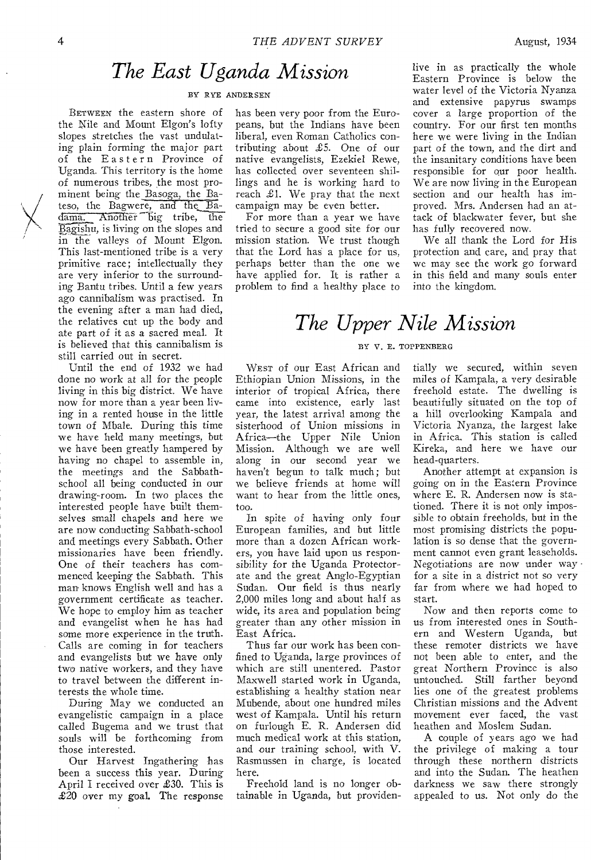### *The East Uganda Mission*

#### BY RYE ANDERSEN

BETWEEN the eastern shore of the Nile and Mount Elgon's lofty slopes stretches the vast undulating plain forming the major part of the Eastern Province of Uganda. This territory is the home of numerous tribes, the most prominent being the Basoga, the Bateso, the Bagwere, and the Badama. Another big tribe, the mment being the Basoga, the Ba-<br>teso, the Bagwere, and the Ba-<br>dama. Another big tribe, the<br>Bagishu, is living on the slopes and<br>in the valleys of Mount Elgon. Bagishu, is living on the slopes and<br>in the valleys of Mount Elgon. This last-mentioned tribe is a very primitive race; intellectually they are very inferior to the surrounding Bantu tribes. Until a few years ago cannibalism was practised. In the evening after a man had died, the relatives cut up the body and ate part of it as a sacred meal. It is believed that this cannibalism is still carried out in secret.

Until the end of 1932 we had done no work at all for the people living in this big district. We have now for more than a year been living in a rented house in the little town of Mbale. During this time we have held many meetings, but we have been greatly hampered by having no chapel to assemble in, the meetings and the Sabbathschool all being conducted in our drawing-room. In two places the interested people have built themselves small chapels and here we are now conducting Sabbath-school and meetings every Sabbath. Other missionaries have been friendly. One of their teachers has commenced keeping the Sabbath. This man- knows English well and has a government certificate as teacher. We hope to employ him as teacher and evangelist when he has had some more experience in the truth. Calls are coming in for teachers and evangelists but we have only two native workers, and they have to travel between the different interests the whole time.

During May we conducted an evangelistic campaign in a place called Bugema and we trust that souls will be forthcoming from those interested.

Our Harvest Ingathering has been a success this year. During April I received over £30. This is £20 over my goal. The response has been very poor from the Europeans, but the Indians have been liberal, even Roman Catholics contributing about £5. One of our native evangelists, Ezekiel Rewe, has collected over seventeen shillings and he is working hard to reach £1. We pray that the next campaign may be even better.

For more than a year we have tried to secure a good site for our mission station. We trust though that the Lord has a place for us, perhaps better than the one we have applied for. It is rather a problem to find a healthy place to

live in as practically the whole Eastern Province is below the water level of the Victoria Nyanza and extensive papyrus swamps cover a large proportion of the country. For our first ten months here we were living in the Indian part of the town, and the dirt and the insanitary conditions have been responsible for our poor health. We are now living in the European section and our health has improved. Mrs. Andersen had an attack of blackwater fever, but she has fully recovered now.

We all thank the Lord for His protection and care, and pray that we may see the work go forward in this field and many souls enter into the kingdom.

## *The Upper Nile Mission*

#### BY V. E. TOPPENBERG

WEST of our East African and Ethiopian Union Missions, in the interior of tropical Africa, there came into existence, early last year, the latest arrival among the sisterhood of Union missions in Africa—the Upper Nile Union Mission. Although we are well along in our second year we haven't begun to talk much; but we believe friends at home will want to hear from the little ones, too.

In spite of having only four European families, and but little more than a dozen African workers, you have laid upon us responsibility for the Uganda Protectorate and the great Anglo-Egyptian Sudan. Our field is thus nearly 2,000 miles long and about half as wide, its area and population being greater than any other mission in East Africa.

Thus far our work has been confined to Uganda, large provinces of which are still unentered. Pastor Maxwell started work in Uganda, establishing a healthy station near Mubende, about one hundred miles west of Kampala. Until his return on furlough E. R. Andersen did much medical work at this station, and our training school, with V. Rasmussen in charge, is located here.

Freehold land is no longer obtainable in Uganda, but providentially we secured, within seven miles of Kampala, a very desirable freehold estate. The dwelling is beautifully situated on the top of a hill overlooking Kampala and Victoria Nyanza, the largest lake in Africa. This station is called Kireka, and here we have our head-quarters.

Another attempt at expansion is going on in the Eastern Province where E. R. Andersen now is stationed. There it is not only impossible to obtain freeholds, but in the most promising districts the population is so dense that the government cannot even grant leaseholds. Negotiations are now under way • for a site in a district not so very far from where we had hoped to start.

Now and then reports come to us from interested ones in Southern and Western Uganda, but these remoter districts we have not been able to enter, and the great Northern Province is also untouched. Still farther beyond lies one of the greatest problems Christian missions and the Advent movement ever faced, the vast heathen and Moslem Sudan.

A couple of years ago we had the privilege of making a tour through these northern districts and into the Sudan. The heathen darkness we saw there strongly appealed to us. Not only do the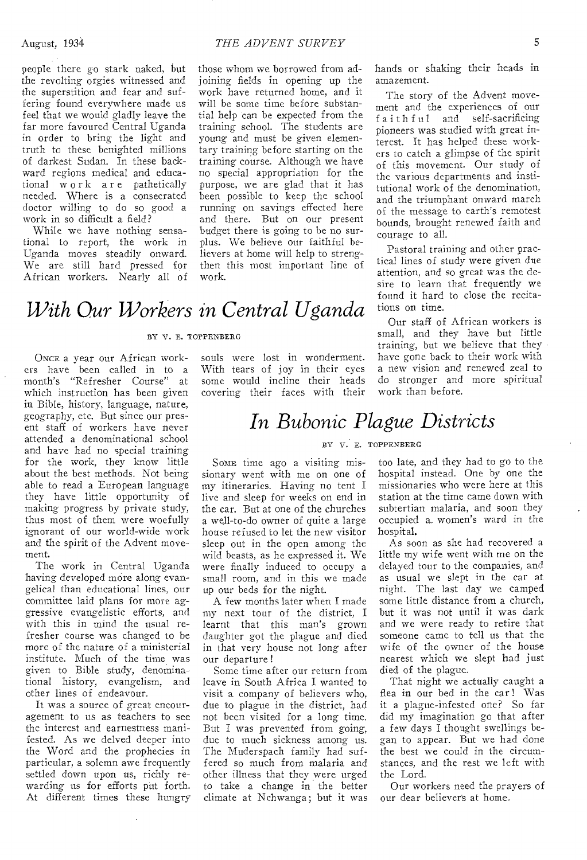people there go stark naked, but the revolting orgies witnessed and the superstition and fear and suffering found everywhere made us feel that we would gladly leave the far more favoured Central Uganda in order to bring the light and truth to these benighted millions of darkest Sudan. In these backward regions medical and educational work are pathetically needed. Where is a consecrated doctor willing to do so good a work in so difficult a field?

While we have nothing sensational to report, the work in Uganda moves steadily onward. We are still hard pressed for African workers. Nearly all of those whom we borrowed from adjoining fields in opening up the work have returned home, and it will be some time before substantial help can be expected from the training school. The students are young and must be given elementary training before starting on the training course. Although we have no special appropriation for the purpose, we are glad that it has been possible to keep the school running on savings effected here and there. But on our present budget there is going to be no surplus. We believe our faithful believers at home will help to strengthen this most important line of work.

## *With Our Workers in Central Uganda*

#### BY V. E. TOPPENBERG

ONCE a year our African workers have been called in to a month's "Refresher Course" at which instruction has been given in Bible, history, language, nature, geography, etc. But since our present staff of workers have never attended a denominational school and have had no special training for the work, they know little about the best methods. Not being able to read a European language they have little opportunity of making progress by private study, thus most of them were woefully ignorant of our world-wide work and the spirit of the Advent movement.

The work in Central Uganda having developed more along evangelical than educational lines, our committee laid plans for more aggressive evangelistic efforts, and with this in mind the usual refresher course was changed to be more of the nature of a ministerial institute. Much of the time was given to Bible study, denominational history, evangelism, and other lines of endeavour.

It was a source of great encouragement to us as teachers to see the interest and earnestness manifested. As we delved deeper into the Word and the prophecies in particular, a solemn awe frequently settled down upon us, richly rewarding us for efforts put forth. At different times these hungry souls were lost in wonderment. With tears of joy in their eyes some would incline their heads covering their faces with their

### *In Bubonic Plague Districts*

#### BY V. E. TOPPENBERG

SOME time ago a visiting missionary went with me on one of my itineraries. Having no tent I live and sleep for weeks on end in the car. But at one of the churches a well-to-do owner of quite a large house refused to let the new visitor sleep out in the open among the wild beasts, as he expressed it. We were finally induced to occupy a small room, and in this we made up our beds for the night.

A few months later when I made my next tour of the district, I learnt that this man's grown daughter got the plague and died in that very house not long after our departure!

Some time after our return from leave in South Africa I wanted to visit a company of believers who, due to plague in the district, had not been visited for a long time. But I was prevented from going, due to much sickness among us. The Muderspach family had suffered so much from malaria and other illness that they were urged to take a change in the better climate at Nchwanga; but it was

hands or shaking their heads in amazement.

The story of the Advent movement and the experiences of our  $f$ a i  $t$  h  $f$   $u$  l  $a$ nd self-sacrificing pioneers was studied with great interest. It has helped these workers to catch a glimpse of the spirit of this movement. Our study of the various departments and institutional work of the denomination. and the triumphant onward march of the message to earth's remotest bounds, brought renewed faith and courage to all.

Pastoral training and other practical lines of study were given due attention, and so great was the desire to learn that frequently we found it hard to close the recitations on time.

Our staff of African workers is small, and they have but little training, but we believe that they have gone back to their work with a new vision and renewed zeal to do stronger and more spiritual work than before.

too late, and they had to go to the hospital instead. One by one the missionaries who were here at this station at the time came down with subtertian malaria, and soon they occupied a\_ women's ward in the hospital.

As soon as she had recovered a little my wife went with me on the delayed tour to the companies, and as usual we slept in the car at night. The last day we camped some little distance from a church, but it was not until it was dark and we were ready to retire that someone came to tell us that the wife of the owner of the house nearest which we slept had just died of the plague.

That night we actually caught a flea in our bed in the car! Was it a plague-infested one? So far did my imagination go that after a few days I thought swellings began to appear. But we had done the best we could in the circumstances, and the rest we left with the Lord.

Our workers need the prayers of our dear believers at home.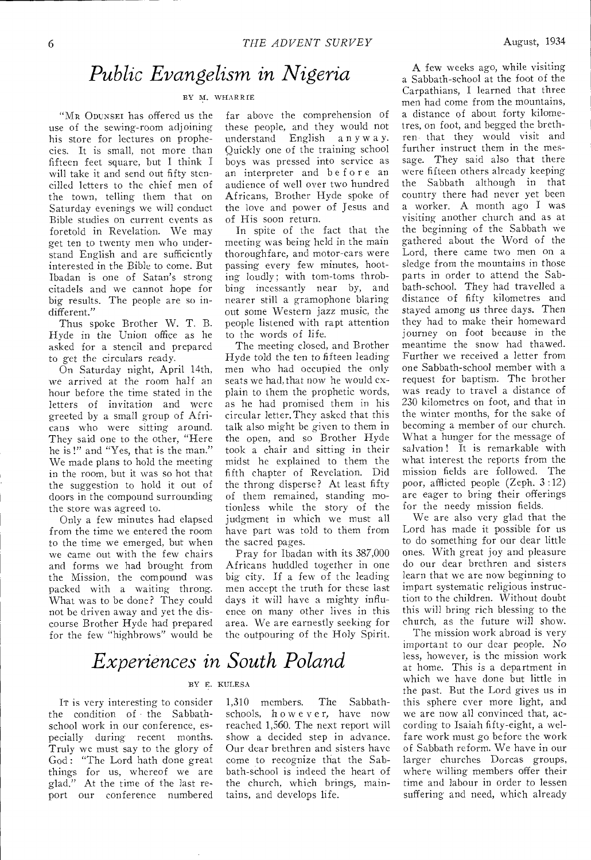### *Public Evangelism in Nigeria*

#### BY M. WHARRIE

"MR ODUNSEI has offered us the use of the sewing-room adjoining his store for lectures on prophecies. It is small, not more than fifteen feet square, but I think I will take it and send out fifty stencilled letters to the chief men of the town, telling them that on Saturday evenings we will conduct Bible studies on current events as foretold in Revelation. We may get ten to twenty men who understand English and are sufficiently interested in the Bible to come. But Ibadan is one of Satan's strong citadels and we cannot hope for big results. The people are so indifferent."

Thus spoke Brother W. T. B. Hyde in the Union office as he asked for a stencil and prepared to get the circulars ready.

On Saturday night, April 14th, we arrived at the room half an hour before the time stated in the letters of invitation and were greeted by a small group of Africans who were sitting around. They said one to the other, "Here he is !" and "Yes, that is the man." We made plans to hold the meeting in the room, but it was so hot that the suggestion to hold it out of doors in the compound surrounding the store was agreed to.

Only a few minutes had elapsed from the time we entered the room to the time we emerged, but when we came out with the few chairs and forms we had brought from the Mission, the compound was packed with a waiting throng. What was to be done? They could not be driven away and yet the discourse Brother Hyde had prepared for the few "highbrows" would be far above the comprehension of these people, and they would not<br>understand English a n y w a y. understand English Quickly one of the training school boys was pressed into service as an interpreter and before an audience of well over two hundred Africans, Brother Hyde spoke of the love and power of Jesus and of His soon return.

In spite of the fact that the meeting was being held in the main thoroughfare, and motor-cars were passing every few minutes, hooting loudly; with tom-toms throbbing incessantly near by, and nearer still a gramophone blaring out some Western jazz music, the people listened with rapt attention to the words of life.

The meeting closed, and Brother Hyde told the ten to fifteen leading men who had occupied the only seats we had,that now he would explain to them the prophetic words, as he had promised them in his circular letter. They asked that this talk also might be given to them in the open, and so Brother Hyde took a chair and sitting in their midst he explained to them the fifth chapter of Revelation. Did the throng disperse? At least fifty of them remained, standing motionless while the story of the judgment in which we must all have part was told to them from the sacred pages.

Pray for Ibadan with its 387,000 Africans huddled together in one big city. If a few of the leading men accept the truth for these last days it will have a mighty influence on many other lives in this area. We are earnestly seeking for the outpouring of the Holy Spirit.

### *Experiences in South Poland*

#### BY E. KULESA

IT is very interesting to consider the condition of the Sabbathschool work in our conference, especially during recent months. Truly we must say to the glory of God: "The Lord hath done great things for us, whereof we are glad." At the time of the last report our conference numbered 1,310 members. The Sabbathschools, however, have now reached 1,560. The next report will show a decided step in advance. Our dear brethren and sisters have come to recognize that the Sabbath-school is indeed the heart of the church, which brings, maintains, and develops life.

A few weeks ago, while visiting a Sabbath-school at the foot of the Carpathians, I learned that three men had come from the mountains, a distance of about forty kilometres, on foot, and begged the brethren that they would visit and further instruct them in the message. They said also that there were fifteen others already keeping the Sabbath although in that country there had never yet been a worker. A month ago I was visiting another church and as at the beginning of the Sabbath we gathered about the Word of the Lord, there came two men on a sledge from the mountains in those parts in order to attend the Sabbath-school. They had travelled a distance of fifty kilometres and stayed among us three days. Then they had to make their homeward journey on foot because in the meantime the snow had thawed. Further we received a letter from one Sabbath-school member with a request for baptism. The brother was ready to travel a distance of 230 kilometres on foot, and that in the winter months, for the sake of becoming a member of our church. What a hunger for the message of salvation! It is remarkable with what interest the reports from the mission fields are followed. The poor, afflicted people (Zeph. 3 :12) are eager to bring their offerings for the needy mission fields.

We are also very glad that the Lord has made it possible for us to do something for our dear little ones. With great joy and pleasure do our dear brethren and sisters learn that we are now beginning to impart systematic religious instruction to the children. Without doubt this will bring rich blessing to the church, as the future will show.

The mission work abroad is very important to our dear people. No less, however, is the mission work at home. This is a department in which we have done but little in the past. But the Lord gives us in this sphere ever more light, and we are now all convinced that, according to Isaiah fifty-eight, a welfare work must go before the work of Sabbath reform. We have in our larger churches Dorcas groups, where willing members offer their time and labour in order to lessen suffering and need, which already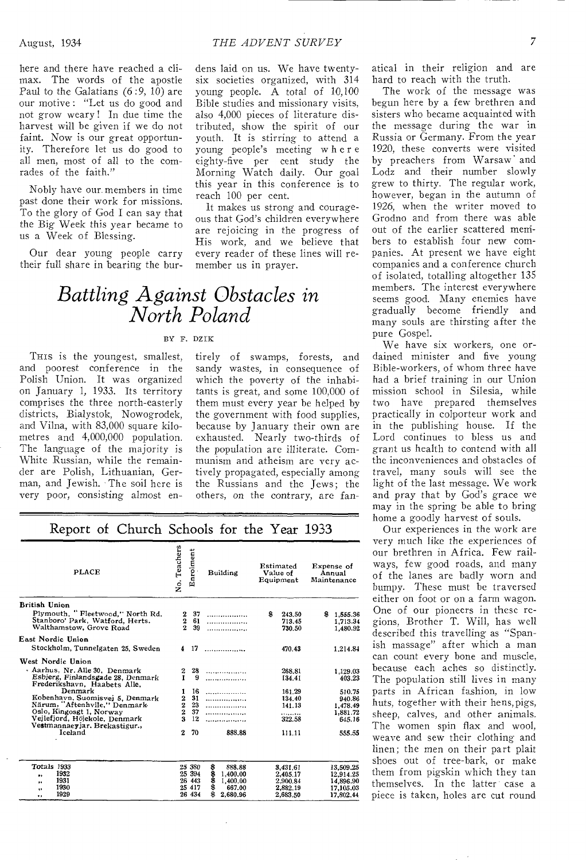here and there have reached a climax. The words of the apostle Paul to the Galatians (6 :9, 10) are our motive : "Let us do good and not grow weary ! In due time the harvest will be given if we do not faint. Now is our great opportunity. Therefore let us do good to all men, most of all to the comrades of the faith."

Nobly have our members in time past done their work for missions. To the glory of God I can say that the Big Week this year became to us a Week of Blessing.

Our dear young people carry their full share in bearing the burdens laid on us. We have twentysix societies organized, with 314 young people. A total of 10,100 Bible studies and missionary visits, also 4,000 pieces of literature distributed, show the spirit of our youth. It is stirring to attend a young people's meeting where eighty-five per cent study the Morning Watch daily. Our goal this year in this conference is to reach 100 per cent.

It makes us strong and courageous that God's children everywhere are rejoicing in the progress of His work, and we believe that every reader of these lines will remember us in prayer.

### *Battling Against Obstacles in North Poland*

#### BY F. DZIK

THIS is the youngest, smallest, and poorest conference in the Polish Union. It was organized on January 1, 1933. Its territory comprises the three north-easterly districts, Bialystok, Nowogrodek, and Vilna, with 83,000 square kilometres and 4,000,000 population. The language of the majority is White Russian, while the remainder are Polish, Lithuanian, German, and Jewish. The soil here is very poor, consisting almost entirely of swamps, forests, and sandy wastes, in consequence of which the poverty of the inhabitants is great, and some 100,000 of them must every year be helped by the government with food supplies, because by January their own are exhausted. Nearly two-thirds of the population are illiterate. Communism and atheism are very actively propagated, especially among the Russians and the Jews; the others, on the contrary, are fan-

| <b>PLACE</b>                                                                                   |                                 | Enrolment      | Building       | Estimated<br>Value of<br>Equipment |                            | Expense of<br>Annual<br>Maintenance |                                  |
|------------------------------------------------------------------------------------------------|---------------------------------|----------------|----------------|------------------------------------|----------------------------|-------------------------------------|----------------------------------|
| <b>British Union</b>                                                                           |                                 |                |                |                                    |                            |                                     |                                  |
| Plymouth, "Fleetwood," North Rd.<br>Stanboro' Park, Watford, Herts.<br>Walthamstow, Grove Road | $\frac{2}{2}$<br>$\overline{2}$ | 37<br>61<br>39 | .<br>.<br>.    | 8                                  | 243.50<br>713.45<br>730.50 | \$                                  | 1,555.36<br>1,713.34<br>1,480.92 |
| East Nordic Union                                                                              |                                 |                |                |                                    |                            |                                     |                                  |
| Stockholm, Tunnelgaten 25, Sweden                                                              |                                 | $4 \t17$       | .              |                                    | 470.43                     |                                     | 1.214.84                         |
| West Nordic Union                                                                              |                                 |                |                |                                    |                            |                                     |                                  |
| · Aarhus, Nr. Alle 30. Denmark                                                                 | 2                               | 28             | .              |                                    | 268.81                     |                                     | 1,129.03                         |
| Esbierg, Finlandsgade 28, Denmark<br>Frederikshavn, Haabets Alle,                              | 1                               | 9              | .              |                                    | 134.41                     |                                     | 403.23                           |
| Denmark                                                                                        | 1                               | 16             |                |                                    | 161.29                     |                                     | 510.75                           |
| Kobenhavn, Suomisvej 5, Denmark                                                                | $\boldsymbol{2}$                | 31             | .              |                                    | 134.40                     |                                     | 940.86                           |
| Närum, "Aftenhvile." Denmark                                                                   | $\bf{2}$                        | 23             | .              |                                    | 141.13                     |                                     | 1,478.49                         |
| Oslo, Kingosgt 1, Norway                                                                       | $\overline{2}$                  | 37             |                |                                    | .                          |                                     | 1,881.72                         |
| Veilefjord, Höjekole, Denmark                                                                  | $\overline{\mathbf{a}}$         | 12             |                |                                    | 322.58                     |                                     | 645.16                           |
| Vestmannaeyjar. Brekastigur.,<br>Iceland                                                       | $\mathbf{z}$                    | 70             | 888.88         |                                    | 111.11                     |                                     | 555.55                           |
|                                                                                                |                                 |                |                |                                    |                            |                                     |                                  |
| Totals 1933                                                                                    |                                 | 25 380         | \$<br>888.88   |                                    | 3.431.61                   |                                     | 13.509.25                        |
| 1932<br>.,                                                                                     |                                 | 25 394         | 8<br>1,400.00  |                                    | 2.405.17                   |                                     | 12,914.25                        |
| 1931<br>ы                                                                                      |                                 | 26 443         | \$<br>1,400.00 |                                    | 2.900.84                   |                                     | 14,896.90                        |
| 1930<br>$^{\bullet}$                                                                           |                                 | 25 417         | \$<br>667.00   |                                    | 2.882.19                   |                                     | 17,105.03                        |
| 1929<br>.,                                                                                     |                                 | 26 434         | 8<br>2.680.96  |                                    | 2,683.50                   |                                     | 17,802.44                        |

Report of Church Schools for the Year 1933

atical in their religion and are hard to reach with the truth.

The work of the message was begun here by a few brethren and sisters who became acquainted with the message during the war in Russia or Germany. From the year 1920, these converts were visited by preachers from Warsaw' and Lodz and their number slowly grew to thirty. The regular work, however, began in the autumn of 1926, when the writer moved to Grodno and from there was able out of the earlier scattered members to establish four new companies. At present we have eight companies and a conference church of isolated, totalling altogether 135 members. The interest everywhere seems good. Many enemies have gradually become friendly and many souls are thirsting after the pure Gospel.

We have six workers, one ordained minister and five young Bible-workers, of whom three have had a brief training in our Union mission school in Silesia, while two have prepared themselves practically in colporteur work and in the publishing house. If the Lord continues to bless us and grant us health to contend with all the inconveniences and obstacles of travel, many souls will see the light of the last message. We work and pray that by God's grace we may in the spring be able to bring home a goodly harvest of souls.

Our experiences in the work are very much like the experiences of our brethren in Africa. Few railways, few good roads, and many of the lanes are badly worn and bumpy. These must be traversed either on foot or on a farm wagon. One of our pioneers in these regions, Brother T. Will, has well described this travelling as "Spanish massage" after which a man can count every bone and muscle, because each aches so distinctly. The population still lives in many parts in African fashion, in low huts, together with their hens, pigs, sheep, calves, and other animals. The women spin flax and wool, weave and sew their clothing and linen; the men on their part plait shoes out of tree-bark, or make them from pigskin which they tan themselves. In the latter case a piece is taken, holes are cut round